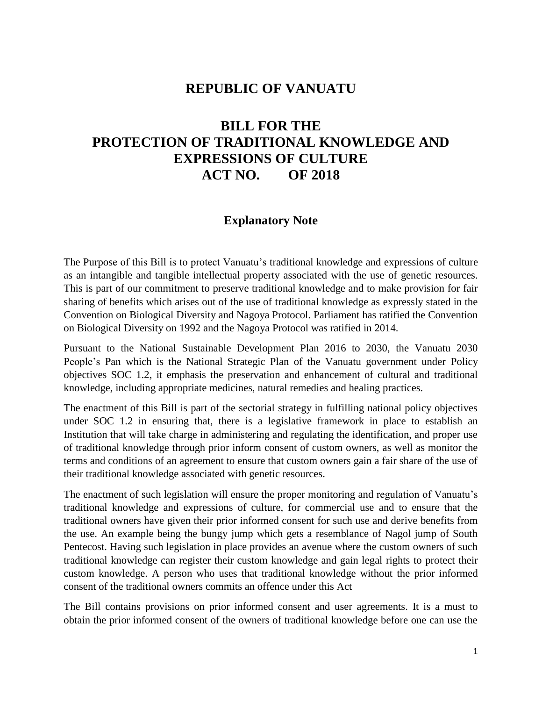# **REPUBLIC OF VANUATU**

# **BILL FOR THE PROTECTION OF TRADITIONAL KNOWLEDGE AND EXPRESSIONS OF CULTURE ACT NO. OF 2018**

# **Explanatory Note**

The Purpose of this Bill is to protect Vanuatu's traditional knowledge and expressions of culture as an intangible and tangible intellectual property associated with the use of genetic resources. This is part of our commitment to preserve traditional knowledge and to make provision for fair sharing of benefits which arises out of the use of traditional knowledge as expressly stated in the Convention on Biological Diversity and Nagoya Protocol. Parliament has ratified the Convention on Biological Diversity on 1992 and the Nagoya Protocol was ratified in 2014.

Pursuant to the National Sustainable Development Plan 2016 to 2030, the Vanuatu 2030 People's Pan which is the National Strategic Plan of the Vanuatu government under Policy objectives SOC 1.2, it emphasis the preservation and enhancement of cultural and traditional knowledge, including appropriate medicines, natural remedies and healing practices.

The enactment of this Bill is part of the sectorial strategy in fulfilling national policy objectives under SOC 1.2 in ensuring that, there is a legislative framework in place to establish an Institution that will take charge in administering and regulating the identification, and proper use of traditional knowledge through prior inform consent of custom owners, as well as monitor the terms and conditions of an agreement to ensure that custom owners gain a fair share of the use of their traditional knowledge associated with genetic resources.

The enactment of such legislation will ensure the proper monitoring and regulation of Vanuatu's traditional knowledge and expressions of culture, for commercial use and to ensure that the traditional owners have given their prior informed consent for such use and derive benefits from the use. An example being the bungy jump which gets a resemblance of Nagol jump of South Pentecost. Having such legislation in place provides an avenue where the custom owners of such traditional knowledge can register their custom knowledge and gain legal rights to protect their custom knowledge. A person who uses that traditional knowledge without the prior informed consent of the traditional owners commits an offence under this Act

The Bill contains provisions on prior informed consent and user agreements. It is a must to obtain the prior informed consent of the owners of traditional knowledge before one can use the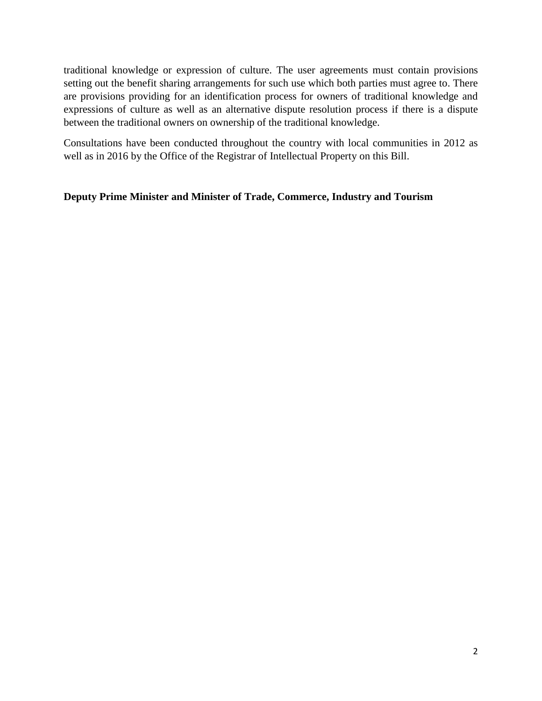traditional knowledge or expression of culture. The user agreements must contain provisions setting out the benefit sharing arrangements for such use which both parties must agree to. There are provisions providing for an identification process for owners of traditional knowledge and expressions of culture as well as an alternative dispute resolution process if there is a dispute between the traditional owners on ownership of the traditional knowledge.

Consultations have been conducted throughout the country with local communities in 2012 as well as in 2016 by the Office of the Registrar of Intellectual Property on this Bill.

#### **Deputy Prime Minister and Minister of Trade, Commerce, Industry and Tourism**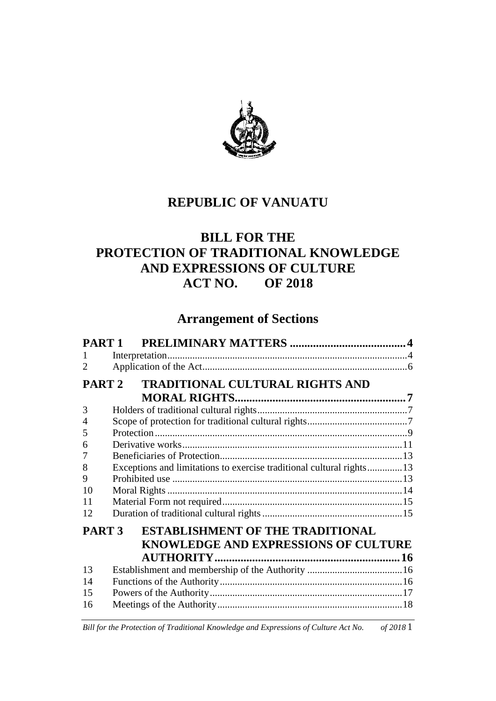

# **REPUBLIC OF VANUATU**

# **BILL FOR THE PROTECTION OF TRADITIONAL KNOWLEDGE AND EXPRESSIONS OF CULTURE ACT NO. OF 2018**

# **Arrangement of Sections**

| PART <sub>1</sub> |                                                                      |  |  |  |  |
|-------------------|----------------------------------------------------------------------|--|--|--|--|
| 1                 |                                                                      |  |  |  |  |
| 2                 |                                                                      |  |  |  |  |
|                   | PART 2 TRADITIONAL CULTURAL RIGHTS AND                               |  |  |  |  |
|                   |                                                                      |  |  |  |  |
| 3                 |                                                                      |  |  |  |  |
| $\overline{4}$    |                                                                      |  |  |  |  |
| 5                 |                                                                      |  |  |  |  |
| 6                 |                                                                      |  |  |  |  |
| 7                 |                                                                      |  |  |  |  |
| 8                 | Exceptions and limitations to exercise traditional cultural rights13 |  |  |  |  |
| 9                 |                                                                      |  |  |  |  |
| 10                |                                                                      |  |  |  |  |
| 11                |                                                                      |  |  |  |  |
| 12                |                                                                      |  |  |  |  |
| PART <sub>3</sub> | <b>ESTABLISHMENT OF THE TRADITIONAL</b>                              |  |  |  |  |
|                   | <b>KNOWLEDGE AND EXPRESSIONS OF CULTURE</b>                          |  |  |  |  |
|                   |                                                                      |  |  |  |  |
| 13                |                                                                      |  |  |  |  |
| 14                |                                                                      |  |  |  |  |
| 15                |                                                                      |  |  |  |  |
| 16                |                                                                      |  |  |  |  |
|                   |                                                                      |  |  |  |  |

*Bill for the Protection of Traditional Knowledge and Expressions of Culture Act No. of 2018* 1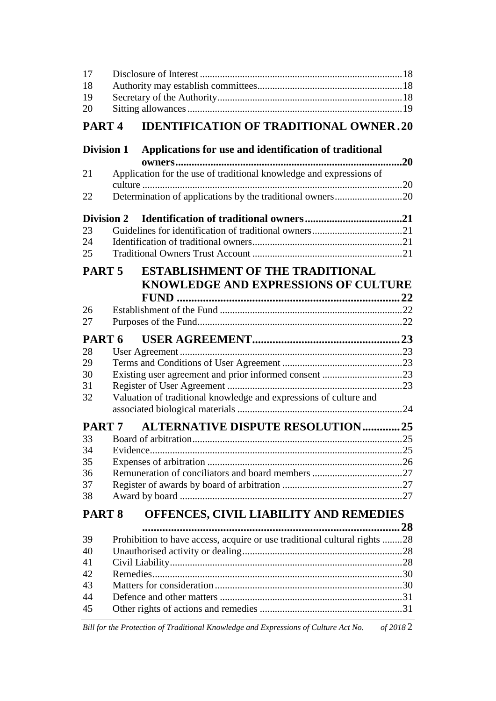| 17                |  |                                                                                                                       |     |
|-------------------|--|-----------------------------------------------------------------------------------------------------------------------|-----|
| 18                |  |                                                                                                                       |     |
| 19                |  |                                                                                                                       |     |
| 20                |  |                                                                                                                       |     |
| PART <sub>4</sub> |  | <b>IDENTIFICATION OF TRADITIONAL OWNER.20</b>                                                                         |     |
| <b>Division 1</b> |  | Applications for use and identification of traditional                                                                | .20 |
| 21                |  | owners<br>Application for the use of traditional knowledge and expressions of                                         |     |
|                   |  |                                                                                                                       |     |
| 22                |  |                                                                                                                       |     |
| <b>Division 2</b> |  |                                                                                                                       |     |
| 23                |  |                                                                                                                       |     |
| 24                |  |                                                                                                                       |     |
| 25                |  |                                                                                                                       |     |
| PART <sub>5</sub> |  | <b>ESTABLISHMENT OF THE TRADITIONAL</b>                                                                               |     |
|                   |  | KNOWLEDGE AND EXPRESSIONS OF CULTURE                                                                                  |     |
|                   |  |                                                                                                                       |     |
| 26                |  |                                                                                                                       |     |
| 27                |  |                                                                                                                       |     |
| PART 6            |  |                                                                                                                       |     |
| 28                |  |                                                                                                                       |     |
| 29                |  |                                                                                                                       |     |
| 30                |  |                                                                                                                       |     |
| 31                |  |                                                                                                                       |     |
| 32                |  | Valuation of traditional knowledge and expressions of culture and                                                     |     |
| PART 7            |  | <b>ALTERNATIVE DISPUTE RESOLUTION25</b>                                                                               |     |
| 33                |  | <b>Board of arbitration</b>                                                                                           | .25 |
| 34                |  |                                                                                                                       |     |
| 35                |  |                                                                                                                       |     |
| 36                |  |                                                                                                                       |     |
| 37                |  |                                                                                                                       |     |
| 38                |  |                                                                                                                       |     |
| PART <sub>8</sub> |  | OFFENCES, CIVIL LIABILITY AND REMEDIES                                                                                |     |
|                   |  |                                                                                                                       | 28  |
| 39                |  | Prohibition to have access, acquire or use traditional cultural rights 28                                             |     |
| 40                |  |                                                                                                                       |     |
| 41                |  |                                                                                                                       |     |
| 42                |  |                                                                                                                       |     |
| 43                |  |                                                                                                                       |     |
| 44                |  |                                                                                                                       |     |
| 45                |  | <u> 1989 - Johann Barn, mars ann an t-Amhain Aonaichte ann an t-Aonaichte ann an t-Aonaichte ann an t-Aonaichte a</u> |     |

*Bill for the Protection of Traditional Knowledge and Expressions of Culture Act No. of 2018* 2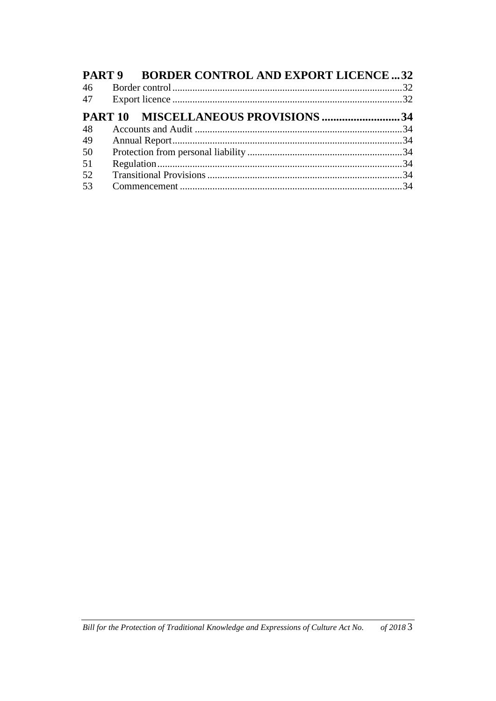|    | PART 9 BORDER CONTROL AND EXPORT LICENCE  32 |  |
|----|----------------------------------------------|--|
| 46 |                                              |  |
|    |                                              |  |
|    | PART 10 MISCELLANEOUS PROVISIONS 34          |  |
| 48 |                                              |  |
| 49 |                                              |  |
| 50 |                                              |  |
| 51 |                                              |  |
| 52 |                                              |  |
| 53 |                                              |  |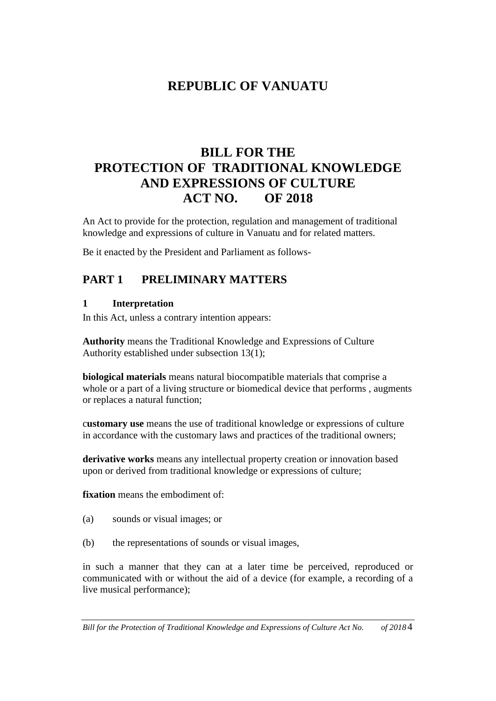# **REPUBLIC OF VANUATU**

# **BILL FOR THE PROTECTION OF TRADITIONAL KNOWLEDGE AND EXPRESSIONS OF CULTURE ACT NO. OF 2018**

An Act to provide for the protection, regulation and management of traditional knowledge and expressions of culture in Vanuatu and for related matters.

Be it enacted by the President and Parliament as follows-

# **PART 1 PRELIMINARY MATTERS**

### **1 Interpretation**

In this Act, unless a contrary intention appears:

**Authority** means the Traditional Knowledge and Expressions of Culture Authority established under subsection 13(1);

**biological materials** means natural biocompatible materials that comprise a whole or a part of a living structure or biomedical device that performs, augments or replaces a natural function;

c**ustomary use** means the use of traditional knowledge or expressions of culture in accordance with the customary laws and practices of the traditional owners;

**derivative works** means any intellectual property creation or innovation based upon or derived from traditional knowledge or expressions of culture;

**fixation** means the embodiment of:

- (a) sounds or visual images; or
- (b) the representations of sounds or visual images,

in such a manner that they can at a later time be perceived, reproduced or communicated with or without the aid of a device (for example, a recording of a live musical performance);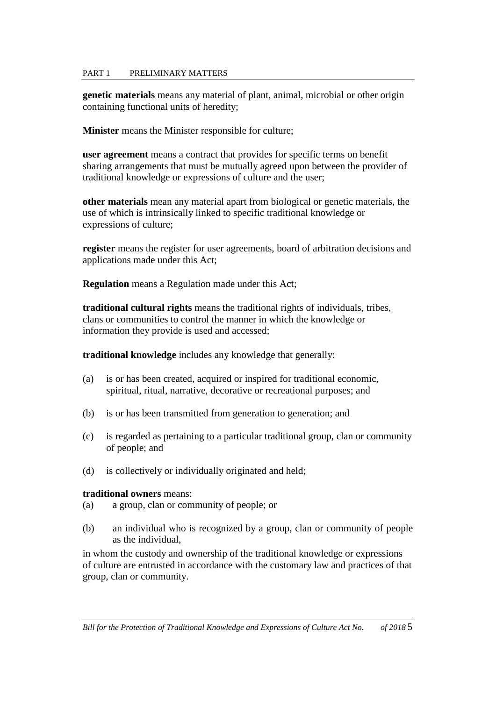#### PART 1 PRELIMINARY MATTERS

**genetic materials** means any material of plant, animal, microbial or other origin containing functional units of heredity;

**Minister** means the Minister responsible for culture;

**user agreement** means a contract that provides for specific terms on benefit sharing arrangements that must be mutually agreed upon between the provider of traditional knowledge or expressions of culture and the user;

**other materials** mean any material apart from biological or genetic materials, the use of which is intrinsically linked to specific traditional knowledge or expressions of culture;

**register** means the register for user agreements, board of arbitration decisions and applications made under this Act;

**Regulation** means a Regulation made under this Act;

**traditional cultural rights** means the traditional rights of individuals, tribes, clans or communities to control the manner in which the knowledge or information they provide is used and accessed;

**traditional knowledge** includes any knowledge that generally:

- (a) is or has been created, acquired or inspired for traditional economic, spiritual, ritual, narrative, decorative or recreational purposes; and
- (b) is or has been transmitted from generation to generation; and
- (c) is regarded as pertaining to a particular traditional group, clan or community of people; and
- (d) is collectively or individually originated and held;

#### **traditional owners** means:

- (a) a group, clan or community of people; or
- (b) an individual who is recognized by a group, clan or community of people as the individual,

in whom the custody and ownership of the traditional knowledge or expressions of culture are entrusted in accordance with the customary law and practices of that group, clan or community.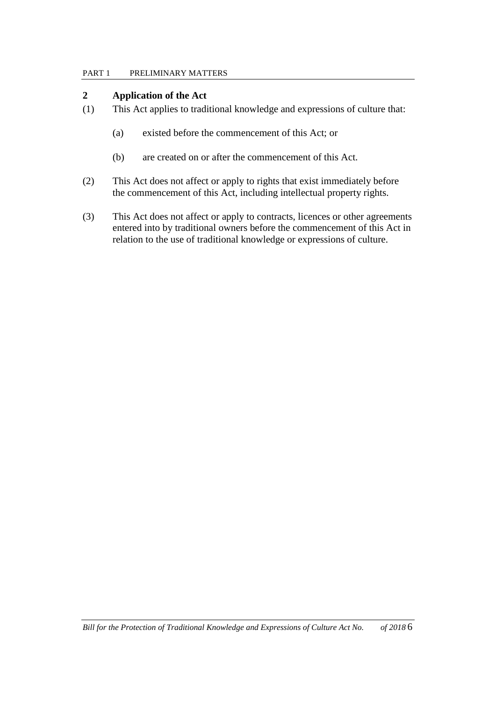#### PART 1 PRELIMINARY MATTERS

#### **2 Application of the Act**

- (1) This Act applies to traditional knowledge and expressions of culture that:
	- (a) existed before the commencement of this Act; or
	- (b) are created on or after the commencement of this Act.
- (2) This Act does not affect or apply to rights that exist immediately before the commencement of this Act, including intellectual property rights.
- (3) This Act does not affect or apply to contracts, licences or other agreements entered into by traditional owners before the commencement of this Act in relation to the use of traditional knowledge or expressions of culture.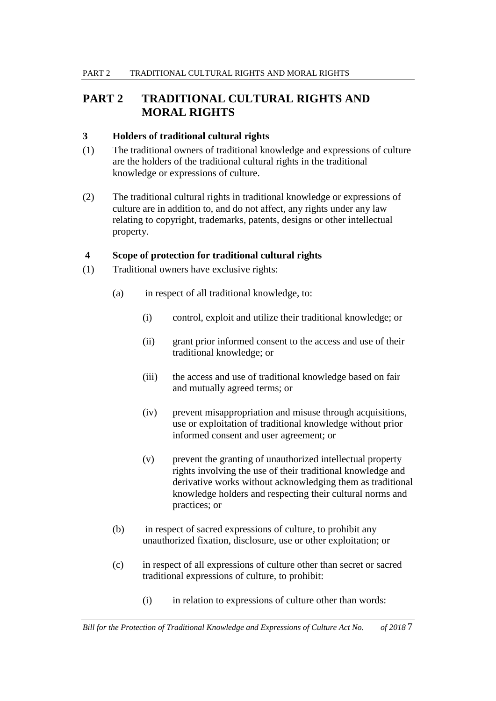### **3 Holders of traditional cultural rights**

- (1) The traditional owners of traditional knowledge and expressions of culture are the holders of the traditional cultural rights in the traditional knowledge or expressions of culture.
- (2) The traditional cultural rights in traditional knowledge or expressions of culture are in addition to, and do not affect, any rights under any law relating to copyright, trademarks, patents, designs or other intellectual property.

#### **4 Scope of protection for traditional cultural rights**

- (1) Traditional owners have exclusive rights:
	- (a) in respect of all traditional knowledge, to:
		- (i) control, exploit and utilize their traditional knowledge; or
		- (ii) grant prior informed consent to the access and use of their traditional knowledge; or
		- (iii) the access and use of traditional knowledge based on fair and mutually agreed terms; or
		- (iv) prevent misappropriation and misuse through acquisitions, use or exploitation of traditional knowledge without prior informed consent and user agreement; or
		- (v) prevent the granting of unauthorized intellectual property rights involving the use of their traditional knowledge and derivative works without acknowledging them as traditional knowledge holders and respecting their cultural norms and practices; or
	- (b) in respect of sacred expressions of culture, to prohibit any unauthorized fixation, disclosure, use or other exploitation; or
	- (c) in respect of all expressions of culture other than secret or sacred traditional expressions of culture, to prohibit:
		- (i) in relation to expressions of culture other than words: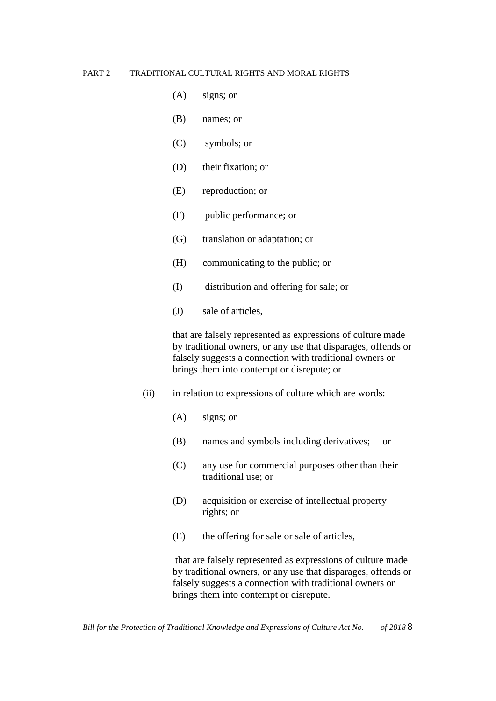- (A) signs; or
- (B) names; or
- (C) symbols; or
- (D) their fixation; or
- (E) reproduction; or
- (F) public performance; or
- (G) translation or adaptation; or
- (H) communicating to the public; or
- (I) distribution and offering for sale; or
- (J) sale of articles,

that are falsely represented as expressions of culture made by traditional owners, or any use that disparages, offends or falsely suggests a connection with traditional owners or brings them into contempt or disrepute; or

- (ii) in relation to expressions of culture which are words:
	- (A) signs; or
	- (B) names and symbols including derivatives; or
	- (C) any use for commercial purposes other than their traditional use; or
	- (D) acquisition or exercise of intellectual property rights; or
	- (E) the offering for sale or sale of articles,

that are falsely represented as expressions of culture made by traditional owners, or any use that disparages, offends or falsely suggests a connection with traditional owners or brings them into contempt or disrepute.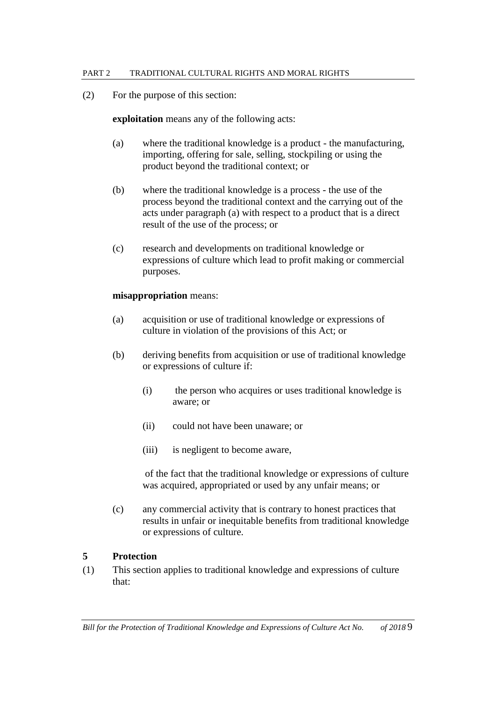(2) For the purpose of this section:

#### **exploitation** means any of the following acts:

- (a) where the traditional knowledge is a product the manufacturing, importing, offering for sale, selling, stockpiling or using the product beyond the traditional context; or
- (b) where the traditional knowledge is a process the use of the process beyond the traditional context and the carrying out of the acts under paragraph (a) with respect to a product that is a direct result of the use of the process; or
- (c) research and developments on traditional knowledge or expressions of culture which lead to profit making or commercial purposes.

#### **misappropriation** means:

- (a) acquisition or use of traditional knowledge or expressions of culture in violation of the provisions of this Act; or
- (b) deriving benefits from acquisition or use of traditional knowledge or expressions of culture if:
	- (i) the person who acquires or uses traditional knowledge is aware; or
	- (ii) could not have been unaware; or
	- (iii) is negligent to become aware,

of the fact that the traditional knowledge or expressions of culture was acquired, appropriated or used by any unfair means; or

(c) any commercial activity that is contrary to honest practices that results in unfair or inequitable benefits from traditional knowledge or expressions of culture.

### **5 Protection**

(1) This section applies to traditional knowledge and expressions of culture that: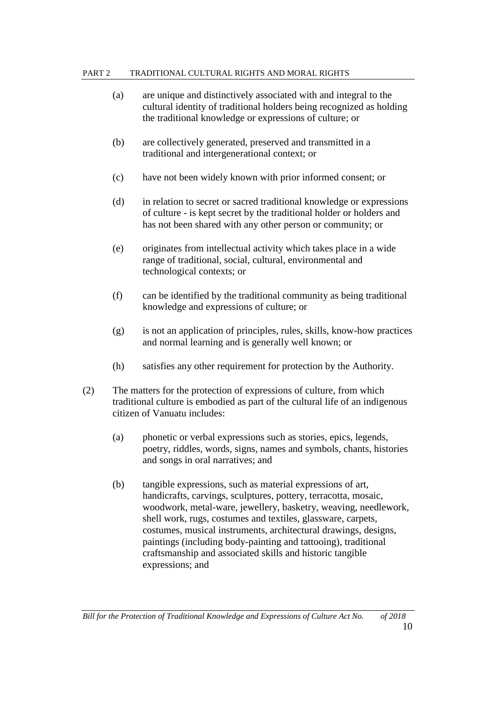- (a) are unique and distinctively associated with and integral to the cultural identity of traditional holders being recognized as holding the traditional knowledge or expressions of culture; or
- (b) are collectively generated, preserved and transmitted in a traditional and intergenerational context; or
- (c) have not been widely known with prior informed consent; or
- (d) in relation to secret or sacred traditional knowledge or expressions of culture - is kept secret by the traditional holder or holders and has not been shared with any other person or community; or
- (e) originates from intellectual activity which takes place in a wide range of traditional, social, cultural, environmental and technological contexts; or
- (f) can be identified by the traditional community as being traditional knowledge and expressions of culture; or
- (g) is not an application of principles, rules, skills, know-how practices and normal learning and is generally well known; or
- (h) satisfies any other requirement for protection by the Authority.
- (2) The matters for the protection of expressions of culture, from which traditional culture is embodied as part of the cultural life of an indigenous citizen of Vanuatu includes:
	- (a) phonetic or verbal expressions such as stories, epics, legends, poetry, riddles, words, signs, names and symbols, chants, histories and songs in oral narratives; and
	- (b) tangible expressions, such as material expressions of art, handicrafts, carvings, sculptures, pottery, terracotta, mosaic, woodwork, metal-ware, jewellery, basketry, weaving, needlework, shell work, rugs, costumes and textiles, glassware, carpets, costumes, musical instruments, architectural drawings, designs, paintings (including body-painting and tattooing), traditional craftsmanship and associated skills and historic tangible expressions; and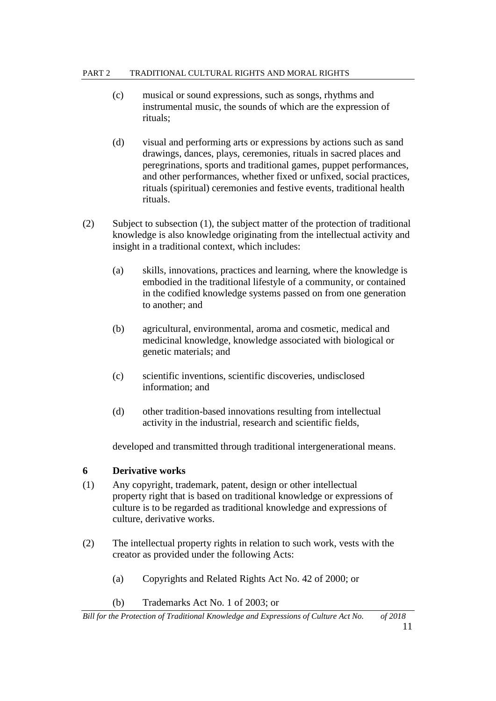- (c) musical or sound expressions, such as songs, rhythms and instrumental music, the sounds of which are the expression of rituals;
- (d) visual and performing arts or expressions by actions such as sand drawings, dances, plays, ceremonies, rituals in sacred places and peregrinations, sports and traditional games, puppet performances, and other performances, whether fixed or unfixed, social practices, rituals (spiritual) ceremonies and festive events, traditional health rituals.
- (2) Subject to subsection (1), the subject matter of the protection of traditional knowledge is also knowledge originating from the intellectual activity and insight in a traditional context, which includes:
	- (a) skills, innovations, practices and learning, where the knowledge is embodied in the traditional lifestyle of a community, or contained in the codified knowledge systems passed on from one generation to another; and
	- (b) agricultural, environmental, aroma and cosmetic, medical and medicinal knowledge, knowledge associated with biological or genetic materials; and
	- (c) scientific inventions, scientific discoveries, undisclosed information; and
	- (d) other tradition-based innovations resulting from intellectual activity in the industrial, research and scientific fields,

developed and transmitted through traditional intergenerational means.

### **6 Derivative works**

- (1) Any copyright, trademark, patent, design or other intellectual property right that is based on traditional knowledge or expressions of culture is to be regarded as traditional knowledge and expressions of culture, derivative works.
- (2) The intellectual property rights in relation to such work, vests with the creator as provided under the following Acts:
	- (a) Copyrights and Related Rights Act No. 42 of 2000; or
	- (b) Trademarks Act No. 1 of 2003; or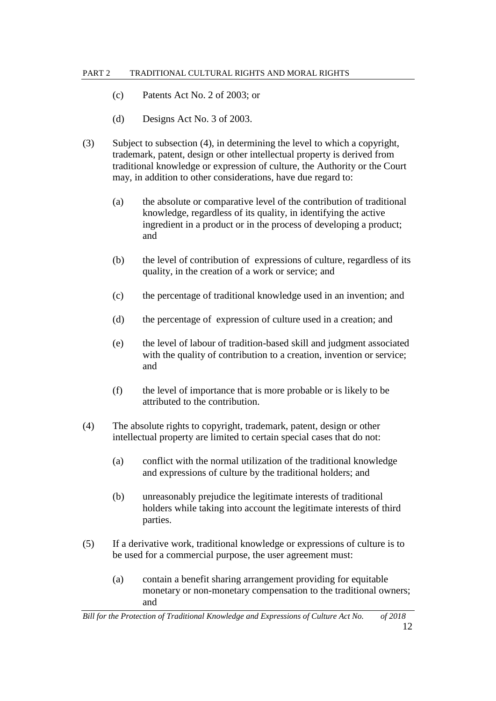- (c) Patents Act No. 2 of 2003; or
- (d) Designs Act No. 3 of 2003.
- (3) Subject to subsection (4), in determining the level to which a copyright, trademark, patent, design or other intellectual property is derived from traditional knowledge or expression of culture, the Authority or the Court may, in addition to other considerations, have due regard to:
	- (a) the absolute or comparative level of the contribution of traditional knowledge, regardless of its quality, in identifying the active ingredient in a product or in the process of developing a product; and
	- (b) the level of contribution of expressions of culture, regardless of its quality, in the creation of a work or service; and
	- (c) the percentage of traditional knowledge used in an invention; and
	- (d) the percentage of expression of culture used in a creation; and
	- (e) the level of labour of tradition-based skill and judgment associated with the quality of contribution to a creation, invention or service; and
	- (f) the level of importance that is more probable or is likely to be attributed to the contribution.
- (4) The absolute rights to copyright, trademark, patent, design or other intellectual property are limited to certain special cases that do not:
	- (a) conflict with the normal utilization of the traditional knowledge and expressions of culture by the traditional holders; and
	- (b) unreasonably prejudice the legitimate interests of traditional holders while taking into account the legitimate interests of third parties.
- (5) If a derivative work, traditional knowledge or expressions of culture is to be used for a commercial purpose, the user agreement must:
	- (a) contain a benefit sharing arrangement providing for equitable monetary or non-monetary compensation to the traditional owners; and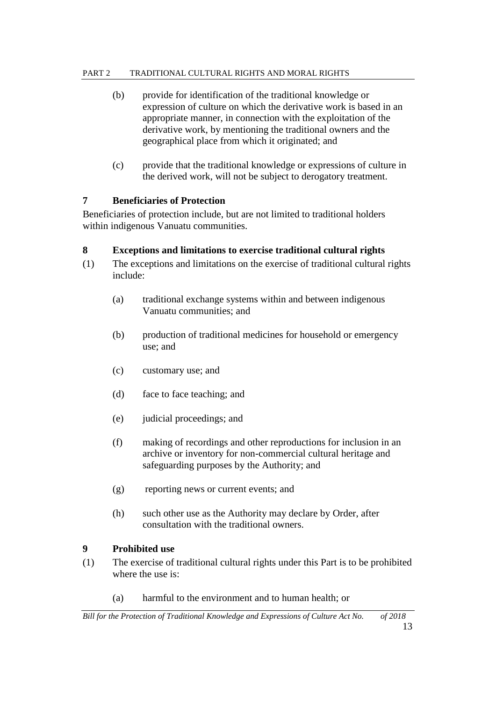- (b) provide for identification of the traditional knowledge or expression of culture on which the derivative work is based in an appropriate manner, in connection with the exploitation of the derivative work, by mentioning the traditional owners and the geographical place from which it originated; and
- (c) provide that the traditional knowledge or expressions of culture in the derived work, will not be subject to derogatory treatment.

# **7 Beneficiaries of Protection**

Beneficiaries of protection include, but are not limited to traditional holders within indigenous Vanuatu communities.

### **8 Exceptions and limitations to exercise traditional cultural rights**

- (1) The exceptions and limitations on the exercise of traditional cultural rights include:
	- (a) traditional exchange systems within and between indigenous Vanuatu communities; and
	- (b) production of traditional medicines for household or emergency use; and
	- (c) customary use; and
	- (d) face to face teaching; and
	- (e) judicial proceedings; and
	- (f) making of recordings and other reproductions for inclusion in an archive or inventory for non-commercial cultural heritage and safeguarding purposes by the Authority; and
	- (g) reporting news or current events; and
	- (h) such other use as the Authority may declare by Order, after consultation with the traditional owners.

### **9 Prohibited use**

- (1) The exercise of traditional cultural rights under this Part is to be prohibited where the use is:
	- (a) harmful to the environment and to human health; or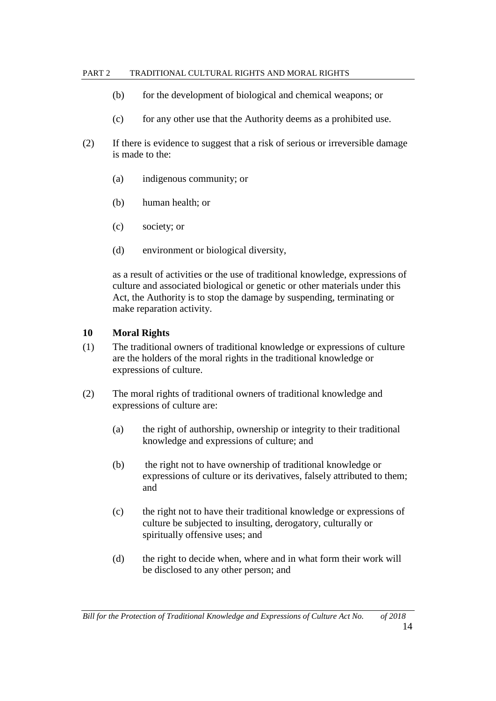- (b) for the development of biological and chemical weapons; or
- (c) for any other use that the Authority deems as a prohibited use.
- (2) If there is evidence to suggest that a risk of serious or irreversible damage is made to the:
	- (a) indigenous community; or
	- (b) human health; or
	- (c) society; or
	- (d) environment or biological diversity,

as a result of activities or the use of traditional knowledge, expressions of culture and associated biological or genetic or other materials under this Act, the Authority is to stop the damage by suspending, terminating or make reparation activity.

#### **10 Moral Rights**

- (1) The traditional owners of traditional knowledge or expressions of culture are the holders of the moral rights in the traditional knowledge or expressions of culture.
- (2) The moral rights of traditional owners of traditional knowledge and expressions of culture are:
	- (a) the right of authorship, ownership or integrity to their traditional knowledge and expressions of culture; and
	- (b) the right not to have ownership of traditional knowledge or expressions of culture or its derivatives, falsely attributed to them; and
	- (c) the right not to have their traditional knowledge or expressions of culture be subjected to insulting, derogatory, culturally or spiritually offensive uses; and
	- (d) the right to decide when, where and in what form their work will be disclosed to any other person; and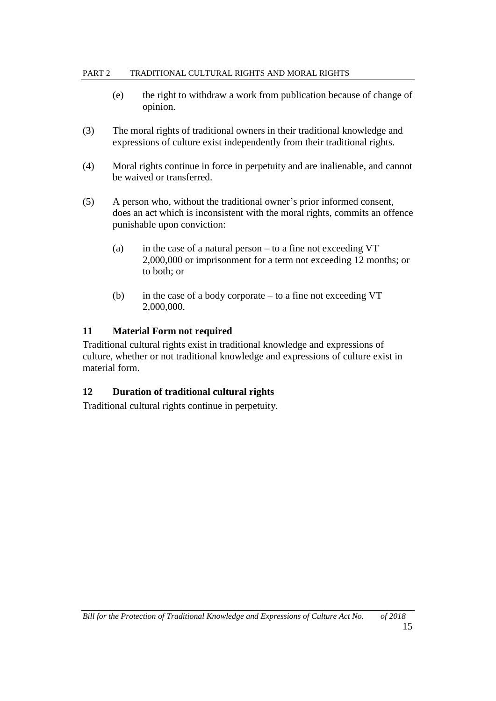- (e) the right to withdraw a work from publication because of change of opinion.
- (3) The moral rights of traditional owners in their traditional knowledge and expressions of culture exist independently from their traditional rights.
- (4) Moral rights continue in force in perpetuity and are inalienable, and cannot be waived or transferred.
- (5) A person who, without the traditional owner's prior informed consent, does an act which is inconsistent with the moral rights, commits an offence punishable upon conviction:
	- (a) in the case of a natural person to a fine not exceeding  $VT$ 2,000,000 or imprisonment for a term not exceeding 12 months; or to both; or
	- (b) in the case of a body corporate to a fine not exceeding VT 2,000,000.

# **11 Material Form not required**

Traditional cultural rights exist in traditional knowledge and expressions of culture, whether or not traditional knowledge and expressions of culture exist in material form.

# **12 Duration of traditional cultural rights**

Traditional cultural rights continue in perpetuity.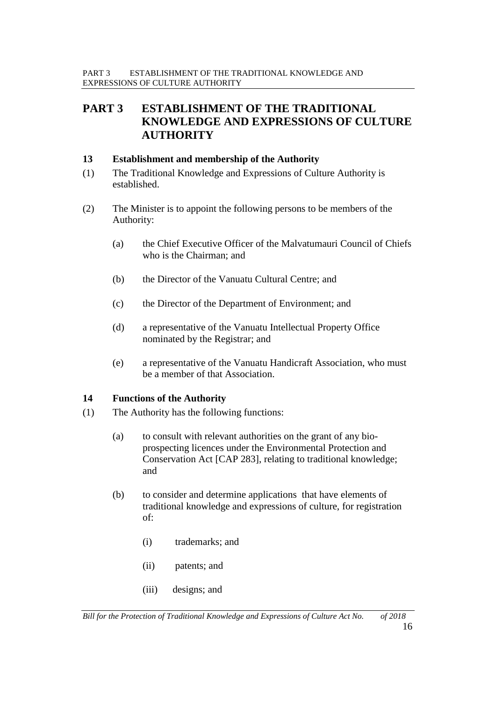# **PART 3 ESTABLISHMENT OF THE TRADITIONAL KNOWLEDGE AND EXPRESSIONS OF CULTURE AUTHORITY**

#### **13 Establishment and membership of the Authority**

- (1) The Traditional Knowledge and Expressions of Culture Authority is established.
- (2) The Minister is to appoint the following persons to be members of the Authority:
	- (a) the Chief Executive Officer of the Malvatumauri Council of Chiefs who is the Chairman; and
	- (b) the Director of the Vanuatu Cultural Centre; and
	- (c) the Director of the Department of Environment; and
	- (d) a representative of the Vanuatu Intellectual Property Office nominated by the Registrar; and
	- (e) a representative of the Vanuatu Handicraft Association, who must be a member of that Association.

#### **14 Functions of the Authority**

- (1) The Authority has the following functions:
	- (a) to consult with relevant authorities on the grant of any bioprospecting licences under the Environmental Protection and Conservation Act [CAP 283], relating to traditional knowledge; and
	- (b) to consider and determine applications that have elements of traditional knowledge and expressions of culture, for registration of:
		- (i) trademarks; and
		- (ii) patents; and
		- (iii) designs; and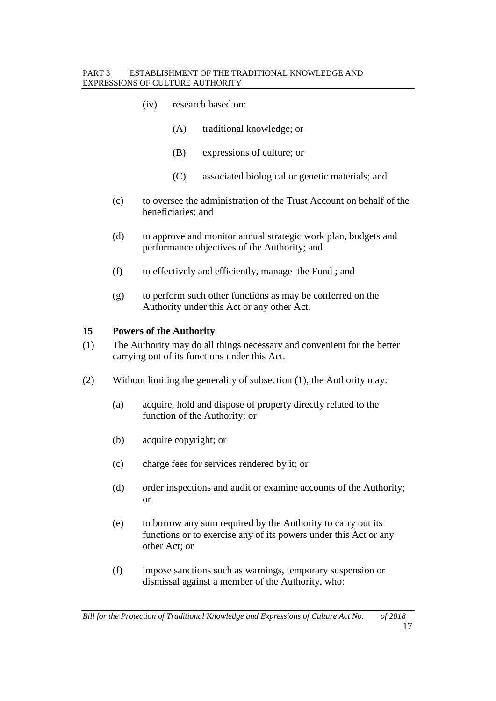#### PART 3 ESTABLISHMENT OF THE TRADITIONAL KNOWLEDGE AND EXPRESSIONS OF CULTURE AUTHORITY

- (iv) research based on:
	- (A) traditional knowledge; or
	- (B) expressions of culture; or
	- (C) associated biological or genetic materials; and
- (c) to oversee the administration of the Trust Account on behalf of the beneficiaries; and
- (d) to approve and monitor annual strategic work plan, budgets and performance objectives of the Authority; and
- (f) to effectively and efficiently, manage the Fund ; and
- (g) to perform such other functions as may be conferred on the Authority under this Act or any other Act.

#### **15 Powers of the Authority**

- (1) The Authority may do all things necessary and convenient for the better carrying out of its functions under this Act.
- (2) Without limiting the generality of subsection (1), the Authority may:
	- (a) acquire, hold and dispose of property directly related to the function of the Authority; or
	- (b) acquire copyright; or
	- (c) charge fees for services rendered by it; or
	- (d) order inspections and audit or examine accounts of the Authority; or
	- (e) to borrow any sum required by the Authority to carry out its functions or to exercise any of its powers under this Act or any other Act; or
	- (f) impose sanctions such as warnings, temporary suspension or dismissal against a member of the Authority, who: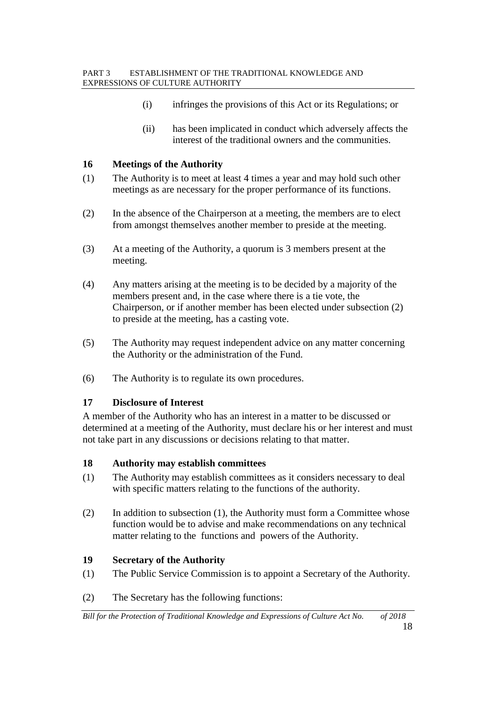- (i) infringes the provisions of this Act or its Regulations; or
- (ii) has been implicated in conduct which adversely affects the interest of the traditional owners and the communities.

### **16 Meetings of the Authority**

- (1) The Authority is to meet at least 4 times a year and may hold such other meetings as are necessary for the proper performance of its functions.
- (2) In the absence of the Chairperson at a meeting, the members are to elect from amongst themselves another member to preside at the meeting.
- (3) At a meeting of the Authority, a quorum is 3 members present at the meeting.
- (4) Any matters arising at the meeting is to be decided by a majority of the members present and, in the case where there is a tie vote, the Chairperson, or if another member has been elected under subsection (2) to preside at the meeting, has a casting vote.
- (5) The Authority may request independent advice on any matter concerning the Authority or the administration of the Fund.
- (6) The Authority is to regulate its own procedures.

### **17 Disclosure of Interest**

A member of the Authority who has an interest in a matter to be discussed or determined at a meeting of the Authority, must declare his or her interest and must not take part in any discussions or decisions relating to that matter.

### **18 Authority may establish committees**

- (1) The Authority may establish committees as it considers necessary to deal with specific matters relating to the functions of the authority.
- (2) In addition to subsection (1), the Authority must form a Committee whose function would be to advise and make recommendations on any technical matter relating to the functions and powers of the Authority.

### **19 Secretary of the Authority**

- (1) The Public Service Commission is to appoint a Secretary of the Authority.
- (2) The Secretary has the following functions: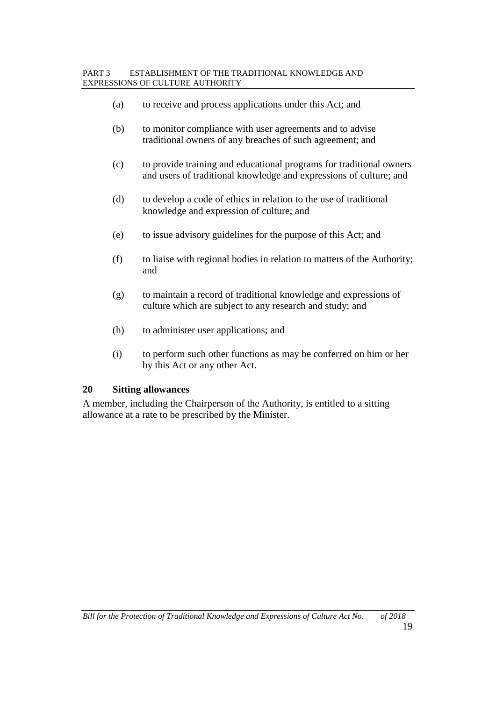- (a) to receive and process applications under this Act; and
- (b) to monitor compliance with user agreements and to advise traditional owners of any breaches of such agreement; and
- (c) to provide training and educational programs for traditional owners and users of traditional knowledge and expressions of culture; and
- (d) to develop a code of ethics in relation to the use of traditional knowledge and expression of culture; and
- (e) to issue advisory guidelines for the purpose of this Act; and
- (f) to liaise with regional bodies in relation to matters of the Authority; and
- (g) to maintain a record of traditional knowledge and expressions of culture which are subject to any research and study; and
- (h) to administer user applications; and
- (i) to perform such other functions as may be conferred on him or her by this Act or any other Act.

#### **20 Sitting allowances**

A member, including the Chairperson of the Authority, is entitled to a sitting allowance at a rate to be prescribed by the Minister.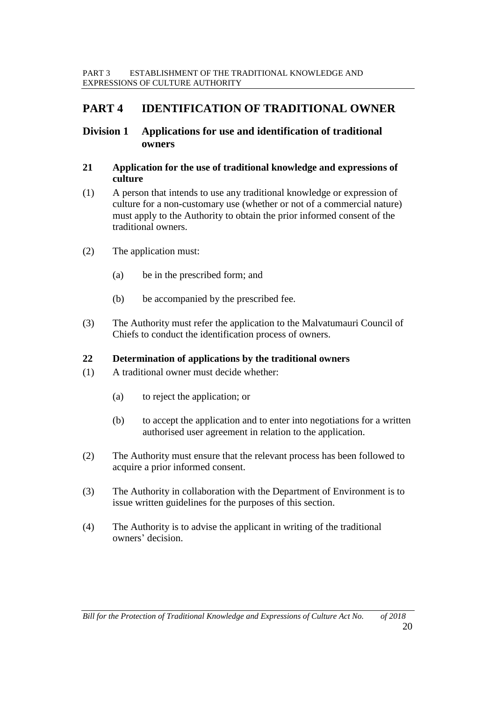# **PART 4 IDENTIFICATION OF TRADITIONAL OWNER**

# **Division 1 Applications for use and identification of traditional owners**

#### **21 Application for the use of traditional knowledge and expressions of culture**

- (1) A person that intends to use any traditional knowledge or expression of culture for a non-customary use (whether or not of a commercial nature) must apply to the Authority to obtain the prior informed consent of the traditional owners.
- (2) The application must:
	- (a) be in the prescribed form; and
	- (b) be accompanied by the prescribed fee.
- (3) The Authority must refer the application to the Malvatumauri Council of Chiefs to conduct the identification process of owners.

### **22 Determination of applications by the traditional owners**

- (1) A traditional owner must decide whether:
	- (a) to reject the application; or
	- (b) to accept the application and to enter into negotiations for a written authorised user agreement in relation to the application.
- (2) The Authority must ensure that the relevant process has been followed to acquire a prior informed consent.
- (3) The Authority in collaboration with the Department of Environment is to issue written guidelines for the purposes of this section.
- (4) The Authority is to advise the applicant in writing of the traditional owners' decision.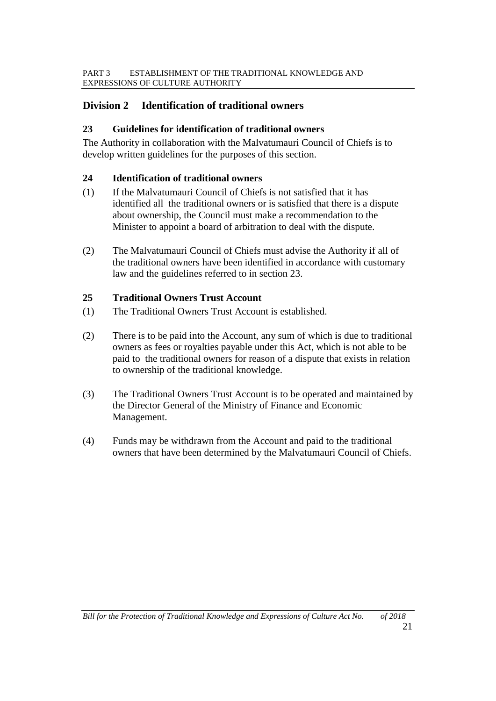# **Division 2 Identification of traditional owners**

### **23 Guidelines for identification of traditional owners**

The Authority in collaboration with the Malvatumauri Council of Chiefs is to develop written guidelines for the purposes of this section.

## **24 Identification of traditional owners**

- (1) If the Malvatumauri Council of Chiefs is not satisfied that it has identified all the traditional owners or is satisfied that there is a dispute about ownership, the Council must make a recommendation to the Minister to appoint a board of arbitration to deal with the dispute.
- (2) The Malvatumauri Council of Chiefs must advise the Authority if all of the traditional owners have been identified in accordance with customary law and the guidelines referred to in section 23.

# **25 Traditional Owners Trust Account**

- (1) The Traditional Owners Trust Account is established.
- (2) There is to be paid into the Account, any sum of which is due to traditional owners as fees or royalties payable under this Act, which is not able to be paid to the traditional owners for reason of a dispute that exists in relation to ownership of the traditional knowledge.
- (3) The Traditional Owners Trust Account is to be operated and maintained by the Director General of the Ministry of Finance and Economic Management.
- (4) Funds may be withdrawn from the Account and paid to the traditional owners that have been determined by the Malvatumauri Council of Chiefs.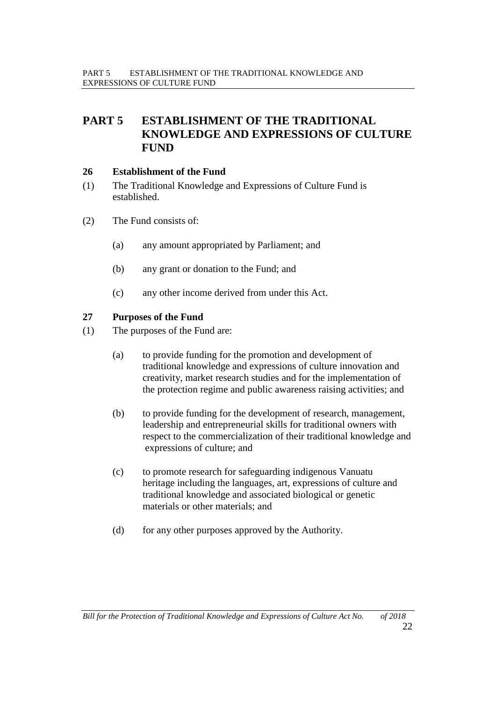# **PART 5 ESTABLISHMENT OF THE TRADITIONAL KNOWLEDGE AND EXPRESSIONS OF CULTURE FUND**

#### **26 Establishment of the Fund**

- (1) The Traditional Knowledge and Expressions of Culture Fund is established.
- (2) The Fund consists of:
	- (a) any amount appropriated by Parliament; and
	- (b) any grant or donation to the Fund; and
	- (c) any other income derived from under this Act.

#### **27 Purposes of the Fund**

- (1) The purposes of the Fund are:
	- (a) to provide funding for the promotion and development of traditional knowledge and expressions of culture innovation and creativity, market research studies and for the implementation of the protection regime and public awareness raising activities; and
	- (b) to provide funding for the development of research, management, leadership and entrepreneurial skills for traditional owners with respect to the commercialization of their traditional knowledge and expressions of culture; and
	- (c) to promote research for safeguarding indigenous Vanuatu heritage including the languages, art, expressions of culture and traditional knowledge and associated biological or genetic materials or other materials; and
	- (d) for any other purposes approved by the Authority.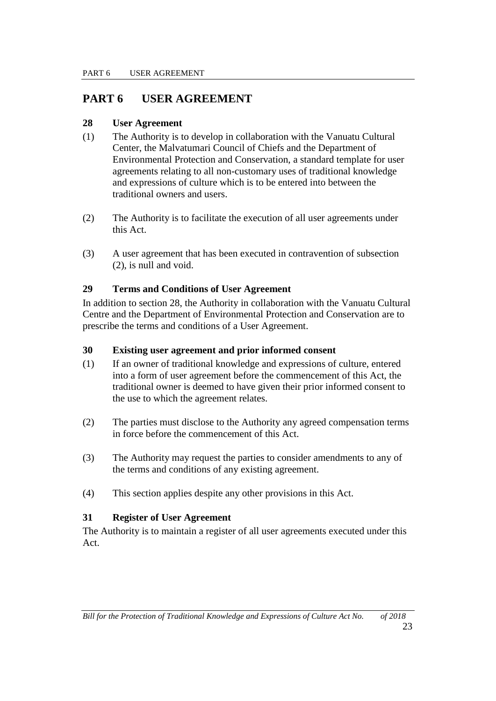# **PART 6 USER AGREEMENT**

# **28 User Agreement**

- (1) The Authority is to develop in collaboration with the Vanuatu Cultural Center, the Malvatumari Council of Chiefs and the Department of Environmental Protection and Conservation, a standard template for user agreements relating to all non-customary uses of traditional knowledge and expressions of culture which is to be entered into between the traditional owners and users.
- (2) The Authority is to facilitate the execution of all user agreements under this Act.
- (3) A user agreement that has been executed in contravention of subsection (2), is null and void.

# **29 Terms and Conditions of User Agreement**

In addition to section 28, the Authority in collaboration with the Vanuatu Cultural Centre and the Department of Environmental Protection and Conservation are to prescribe the terms and conditions of a User Agreement.

### **30 Existing user agreement and prior informed consent**

- (1) If an owner of traditional knowledge and expressions of culture, entered into a form of user agreement before the commencement of this Act, the traditional owner is deemed to have given their prior informed consent to the use to which the agreement relates.
- (2) The parties must disclose to the Authority any agreed compensation terms in force before the commencement of this Act.
- (3) The Authority may request the parties to consider amendments to any of the terms and conditions of any existing agreement.
- (4) This section applies despite any other provisions in this Act.

### **31 Register of User Agreement**

The Authority is to maintain a register of all user agreements executed under this Act.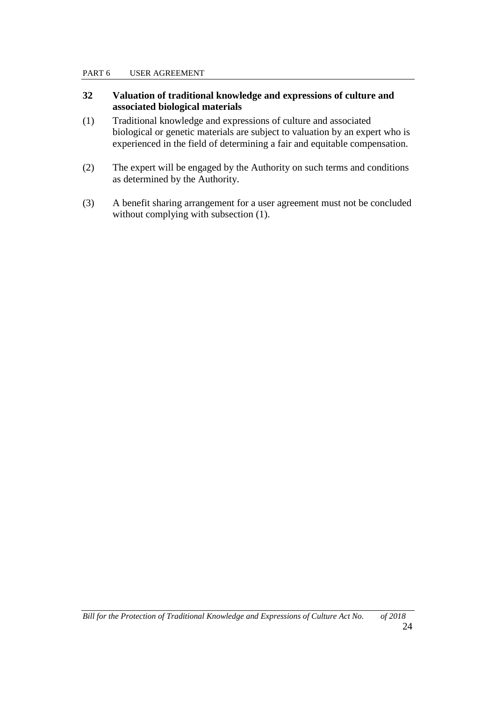#### PART 6 USER AGREEMENT

#### **32 Valuation of traditional knowledge and expressions of culture and associated biological materials**

- (1) Traditional knowledge and expressions of culture and associated biological or genetic materials are subject to valuation by an expert who is experienced in the field of determining a fair and equitable compensation.
- (2) The expert will be engaged by the Authority on such terms and conditions as determined by the Authority.
- (3) A benefit sharing arrangement for a user agreement must not be concluded without complying with subsection  $(1)$ .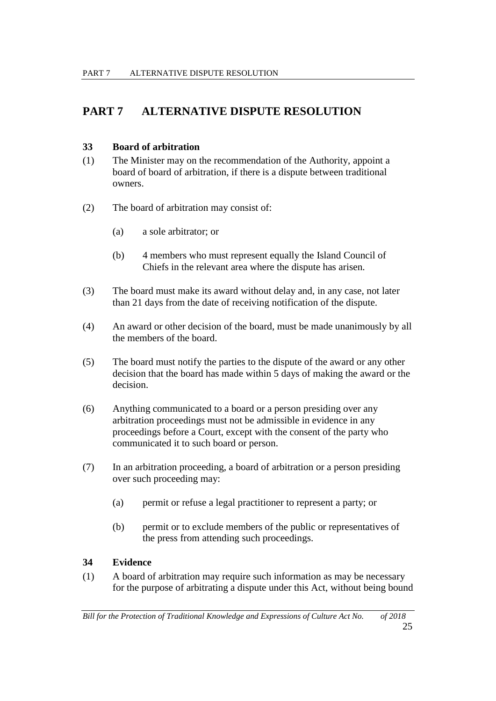# **PART 7 ALTERNATIVE DISPUTE RESOLUTION**

### **33 Board of arbitration**

- (1) The Minister may on the recommendation of the Authority, appoint a board of board of arbitration, if there is a dispute between traditional owners.
- (2) The board of arbitration may consist of:
	- (a) a sole arbitrator; or
	- (b) 4 members who must represent equally the Island Council of Chiefs in the relevant area where the dispute has arisen.
- (3) The board must make its award without delay and, in any case, not later than 21 days from the date of receiving notification of the dispute.
- (4) An award or other decision of the board, must be made unanimously by all the members of the board.
- (5) The board must notify the parties to the dispute of the award or any other decision that the board has made within 5 days of making the award or the decision.
- (6) Anything communicated to a board or a person presiding over any arbitration proceedings must not be admissible in evidence in any proceedings before a Court, except with the consent of the party who communicated it to such board or person.
- (7) In an arbitration proceeding, a board of arbitration or a person presiding over such proceeding may:
	- (a) permit or refuse a legal practitioner to represent a party; or
	- (b) permit or to exclude members of the public or representatives of the press from attending such proceedings.

# **34 Evidence**

(1) A board of arbitration may require such information as may be necessary for the purpose of arbitrating a dispute under this Act, without being bound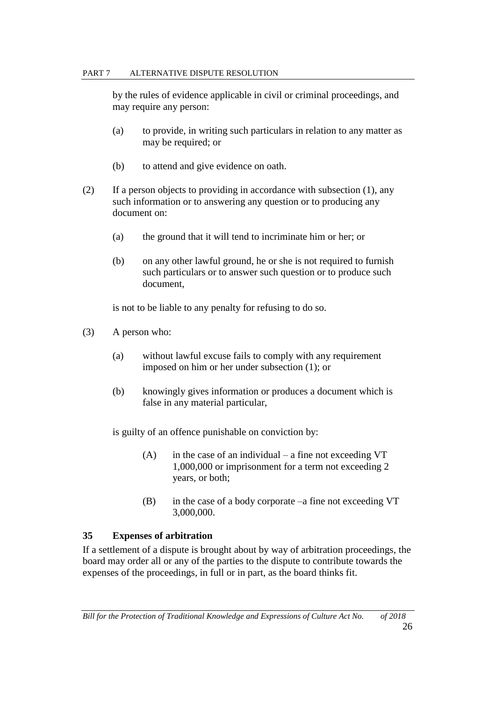#### PART 7 ALTERNATIVE DISPUTE RESOLUTION

by the rules of evidence applicable in civil or criminal proceedings, and may require any person:

- (a) to provide, in writing such particulars in relation to any matter as may be required; or
- (b) to attend and give evidence on oath.
- (2) If a person objects to providing in accordance with subsection (1), any such information or to answering any question or to producing any document on:
	- (a) the ground that it will tend to incriminate him or her; or
	- (b) on any other lawful ground, he or she is not required to furnish such particulars or to answer such question or to produce such document,

is not to be liable to any penalty for refusing to do so.

- (3) A person who:
	- (a) without lawful excuse fails to comply with any requirement imposed on him or her under subsection (1); or
	- (b) knowingly gives information or produces a document which is false in any material particular,

is guilty of an offence punishable on conviction by:

- $(A)$  in the case of an individual a fine not exceeding VT 1,000,000 or imprisonment for a term not exceeding 2 years, or both;
- (B) in the case of a body corporate –a fine not exceeding VT 3,000,000.

### **35 Expenses of arbitration**

If a settlement of a dispute is brought about by way of arbitration proceedings, the board may order all or any of the parties to the dispute to contribute towards the expenses of the proceedings, in full or in part, as the board thinks fit.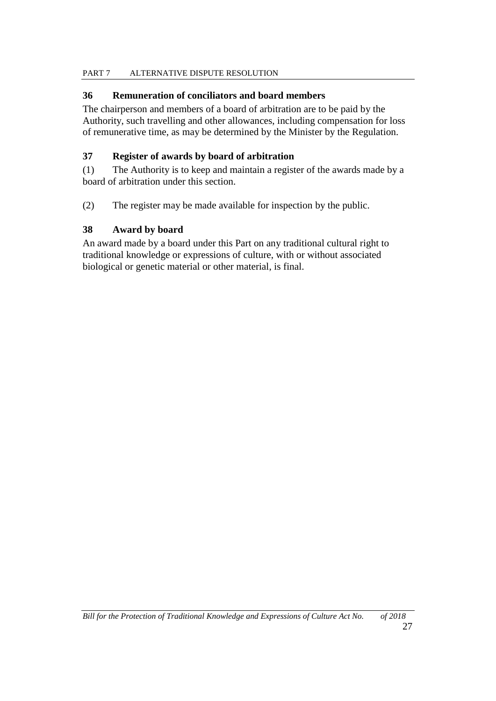## PART 7 ALTERNATIVE DISPUTE RESOLUTION

# **36 Remuneration of conciliators and board members**

The chairperson and members of a board of arbitration are to be paid by the Authority, such travelling and other allowances, including compensation for loss of remunerative time, as may be determined by the Minister by the Regulation.

# **37 Register of awards by board of arbitration**

(1) The Authority is to keep and maintain a register of the awards made by a board of arbitration under this section.

(2) The register may be made available for inspection by the public.

# **38 Award by board**

An award made by a board under this Part on any traditional cultural right to traditional knowledge or expressions of culture, with or without associated biological or genetic material or other material, is final.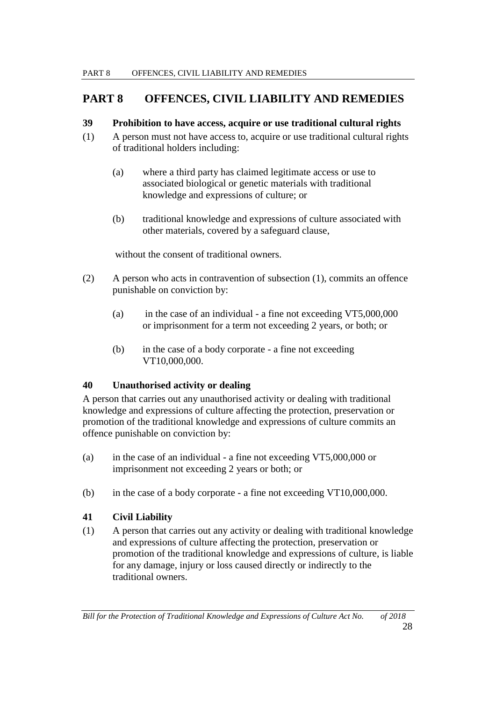# **PART 8 OFFENCES, CIVIL LIABILITY AND REMEDIES**

### **39 Prohibition to have access, acquire or use traditional cultural rights**

- (1) A person must not have access to, acquire or use traditional cultural rights of traditional holders including:
	- (a) where a third party has claimed legitimate access or use to associated biological or genetic materials with traditional knowledge and expressions of culture; or
	- (b) traditional knowledge and expressions of culture associated with other materials, covered by a safeguard clause,

without the consent of traditional owners.

- (2) A person who acts in contravention of subsection (1), commits an offence punishable on conviction by:
	- (a) in the case of an individual a fine not exceeding VT5,000,000 or imprisonment for a term not exceeding 2 years, or both; or
	- (b) in the case of a body corporate a fine not exceeding VT10,000,000.

# **40 Unauthorised activity or dealing**

A person that carries out any unauthorised activity or dealing with traditional knowledge and expressions of culture affecting the protection, preservation or promotion of the traditional knowledge and expressions of culture commits an offence punishable on conviction by:

- (a) in the case of an individual a fine not exceeding VT5,000,000 or imprisonment not exceeding 2 years or both; or
- (b) in the case of a body corporate a fine not exceeding VT10,000,000.

### **41 Civil Liability**

(1) A person that carries out any activity or dealing with traditional knowledge and expressions of culture affecting the protection, preservation or promotion of the traditional knowledge and expressions of culture, is liable for any damage, injury or loss caused directly or indirectly to the traditional owners.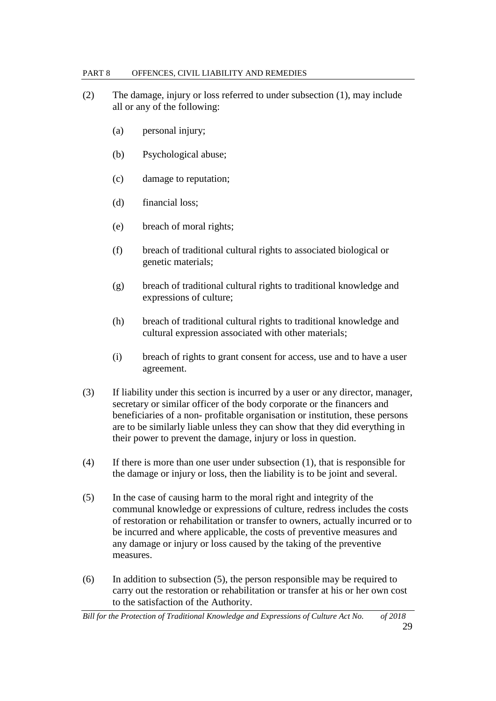#### PART 8 OFFENCES, CIVIL LIABILITY AND REMEDIES

- (2) The damage, injury or loss referred to under subsection (1), may include all or any of the following:
	- (a) personal injury;
	- (b) Psychological abuse;
	- (c) damage to reputation;
	- (d) financial loss;
	- (e) breach of moral rights;
	- (f) breach of traditional cultural rights to associated biological or genetic materials;
	- (g) breach of traditional cultural rights to traditional knowledge and expressions of culture;
	- (h) breach of traditional cultural rights to traditional knowledge and cultural expression associated with other materials;
	- (i) breach of rights to grant consent for access, use and to have a user agreement.
- (3) If liability under this section is incurred by a user or any director, manager, secretary or similar officer of the body corporate or the financers and beneficiaries of a non- profitable organisation or institution, these persons are to be similarly liable unless they can show that they did everything in their power to prevent the damage, injury or loss in question.
- (4) If there is more than one user under subsection (1), that is responsible for the damage or injury or loss, then the liability is to be joint and several.
- (5) In the case of causing harm to the moral right and integrity of the communal knowledge or expressions of culture, redress includes the costs of restoration or rehabilitation or transfer to owners, actually incurred or to be incurred and where applicable, the costs of preventive measures and any damage or injury or loss caused by the taking of the preventive measures.
- (6) In addition to subsection (5), the person responsible may be required to carry out the restoration or rehabilitation or transfer at his or her own cost to the satisfaction of the Authority.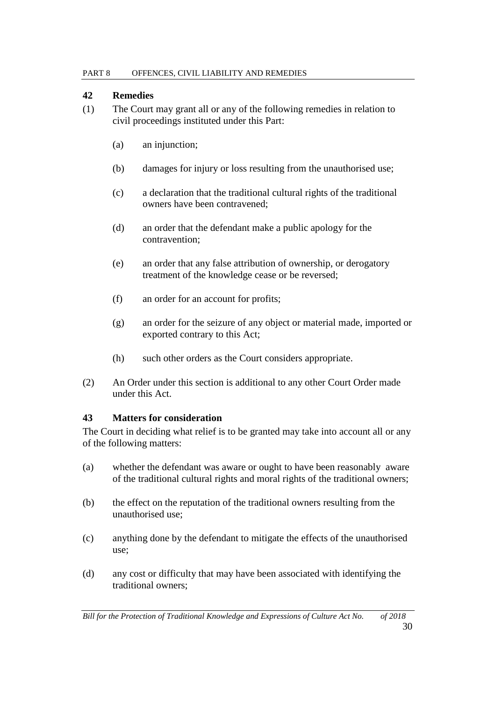### **42 Remedies**

- (1) The Court may grant all or any of the following remedies in relation to civil proceedings instituted under this Part:
	- (a) an injunction;
	- (b) damages for injury or loss resulting from the unauthorised use;
	- (c) a declaration that the traditional cultural rights of the traditional owners have been contravened;
	- (d) an order that the defendant make a public apology for the contravention;
	- (e) an order that any false attribution of ownership, or derogatory treatment of the knowledge cease or be reversed;
	- (f) an order for an account for profits;
	- (g) an order for the seizure of any object or material made, imported or exported contrary to this Act;
	- (h) such other orders as the Court considers appropriate.
- (2) An Order under this section is additional to any other Court Order made under this Act.

### **43 Matters for consideration**

The Court in deciding what relief is to be granted may take into account all or any of the following matters:

- (a) whether the defendant was aware or ought to have been reasonably aware of the traditional cultural rights and moral rights of the traditional owners;
- (b) the effect on the reputation of the traditional owners resulting from the unauthorised use;
- (c) anything done by the defendant to mitigate the effects of the unauthorised use;
- (d) any cost or difficulty that may have been associated with identifying the traditional owners;

*Bill for the Protection of Traditional Knowledge and Expressions of Culture Act No. of 2018*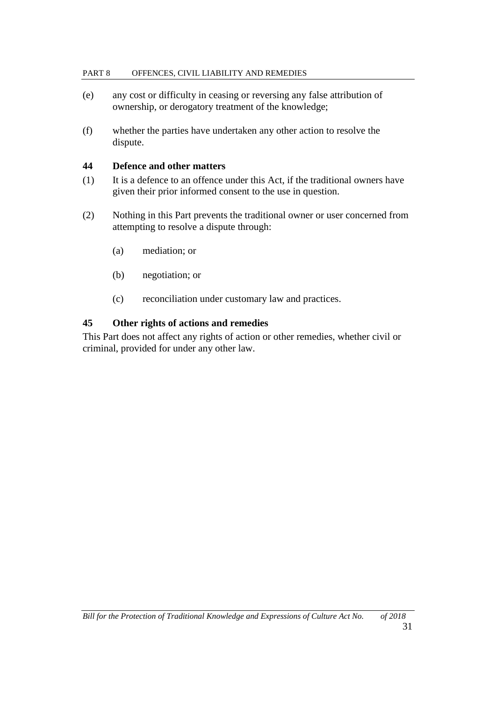#### PART 8 OFFENCES, CIVIL LIABILITY AND REMEDIES

- (e) any cost or difficulty in ceasing or reversing any false attribution of ownership, or derogatory treatment of the knowledge;
- (f) whether the parties have undertaken any other action to resolve the dispute.

#### **44 Defence and other matters**

- (1) It is a defence to an offence under this Act, if the traditional owners have given their prior informed consent to the use in question.
- (2) Nothing in this Part prevents the traditional owner or user concerned from attempting to resolve a dispute through:
	- (a) mediation; or
	- (b) negotiation; or
	- (c) reconciliation under customary law and practices.

### **45 Other rights of actions and remedies**

This Part does not affect any rights of action or other remedies, whether civil or criminal, provided for under any other law.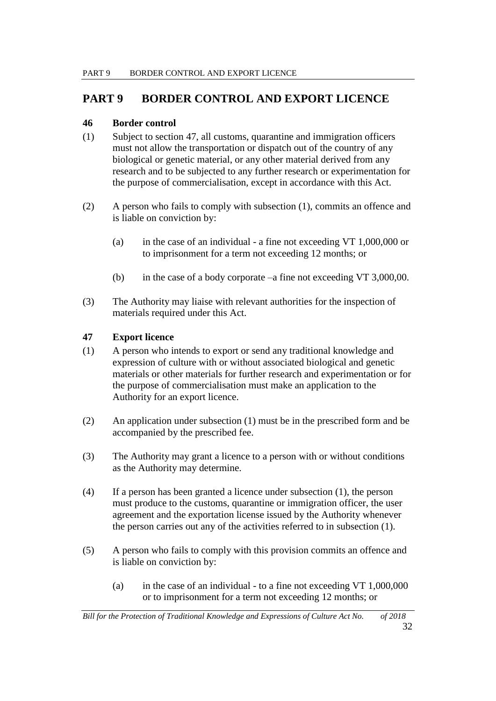# **PART 9 BORDER CONTROL AND EXPORT LICENCE**

# **46 Border control**

- (1) Subject to section 47, all customs, quarantine and immigration officers must not allow the transportation or dispatch out of the country of any biological or genetic material, or any other material derived from any research and to be subjected to any further research or experimentation for the purpose of commercialisation, except in accordance with this Act.
- (2) A person who fails to comply with subsection (1), commits an offence and is liable on conviction by:
	- (a) in the case of an individual a fine not exceeding VT 1,000,000 or to imprisonment for a term not exceeding 12 months; or
	- (b) in the case of a body corporate –a fine not exceeding VT 3,000,00.
- (3) The Authority may liaise with relevant authorities for the inspection of materials required under this Act.

# **47 Export licence**

- (1) A person who intends to export or send any traditional knowledge and expression of culture with or without associated biological and genetic materials or other materials for further research and experimentation or for the purpose of commercialisation must make an application to the Authority for an export licence.
- (2) An application under subsection (1) must be in the prescribed form and be accompanied by the prescribed fee.
- (3) The Authority may grant a licence to a person with or without conditions as the Authority may determine.
- (4) If a person has been granted a licence under subsection (1), the person must produce to the customs, quarantine or immigration officer, the user agreement and the exportation license issued by the Authority whenever the person carries out any of the activities referred to in subsection (1).
- (5) A person who fails to comply with this provision commits an offence and is liable on conviction by:
	- (a) in the case of an individual to a fine not exceeding VT 1,000,000 or to imprisonment for a term not exceeding 12 months; or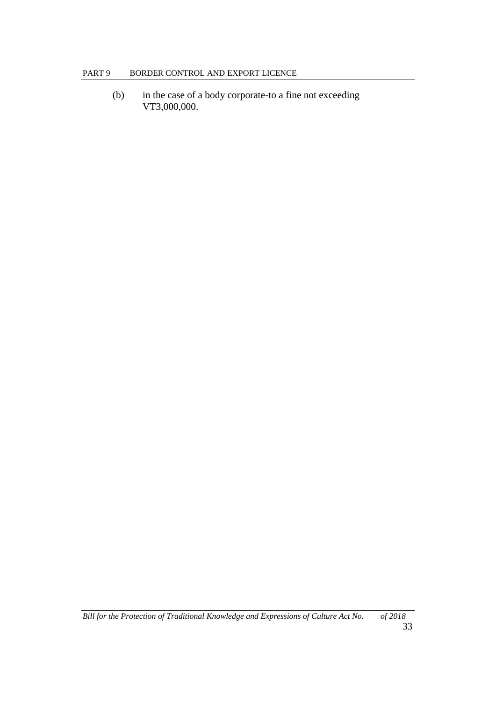(b) in the case of a body corporate-to a fine not exceeding VT3,000,000.

*Bill for the Protection of Traditional Knowledge and Expressions of Culture Act No. of 2018*